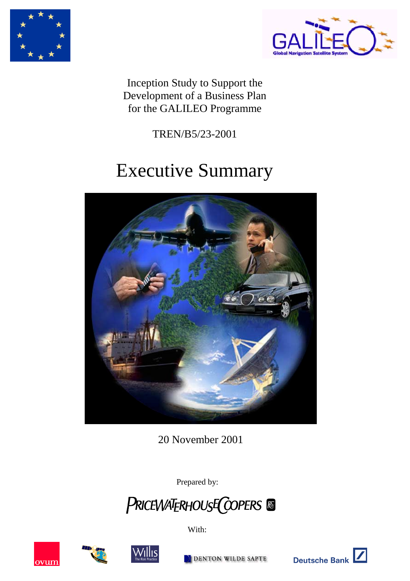



Inception Study to Support the Development of a Business Plan for the GALILEO Programme

TREN/B5/23-2001

# Executive Summary



20 November 2001

Prepared by:











DENTON WILDE SAPTE



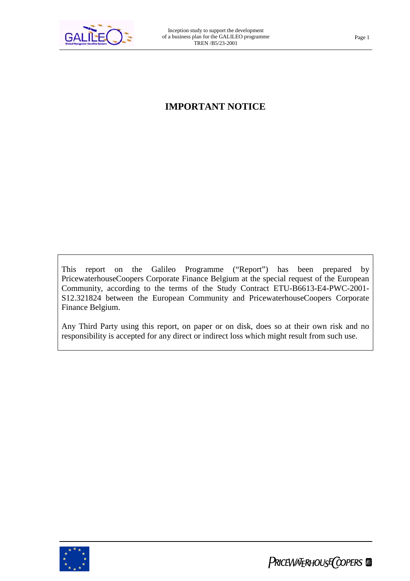

### **IMPORTANT NOTICE**

This report on the Galileo Programme ("Report") has been prepared by PricewaterhouseCoopers Corporate Finance Belgium at the special request of the European Community, according to the terms of the Study Contract ETU-B6613-E4-PWC-2001- S12.321824 between the European Community and PricewaterhouseCoopers Corporate Finance Belgium.

Any Third Party using this report, on paper or on disk, does so at their own risk and no responsibility is accepted for any direct or indirect loss which might result from such use.

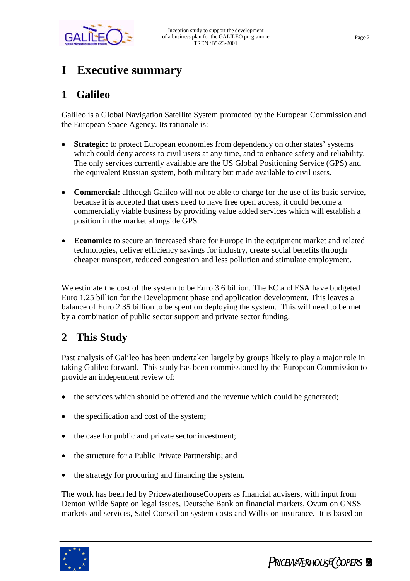

# **I Executive summary**

# **1 Galileo**

Galileo is a Global Navigation Satellite System promoted by the European Commission and the European Space Agency. Its rationale is:

- **Strategic:** to protect European economies from dependency on other states' systems which could deny access to civil users at any time, and to enhance safety and reliability. The only services currently available are the US Global Positioning Service (GPS) and the equivalent Russian system, both military but made available to civil users.
- **Commercial:** although Galileo will not be able to charge for the use of its basic service, because it is accepted that users need to have free open access, it could become a commercially viable business by providing value added services which will establish a position in the market alongside GPS.
- **Economic:** to secure an increased share for Europe in the equipment market and related technologies, deliver efficiency savings for industry, create social benefits through cheaper transport, reduced congestion and less pollution and stimulate employment.

We estimate the cost of the system to be Euro 3.6 billion. The EC and ESA have budgeted Euro 1.25 billion for the Development phase and application development. This leaves a balance of Euro 2.35 billion to be spent on deploying the system. This will need to be met by a combination of public sector support and private sector funding.

# **2 This Study**

Past analysis of Galileo has been undertaken largely by groups likely to play a major role in taking Galileo forward. This study has been commissioned by the European Commission to provide an independent review of:

- the services which should be offered and the revenue which could be generated;
- the specification and cost of the system;
- the case for public and private sector investment;
- the structure for a Public Private Partnership; and
- the strategy for procuring and financing the system.

The work has been led by PricewaterhouseCoopers as financial advisers, with input from Denton Wilde Sapte on legal issues, Deutsche Bank on financial markets, Ovum on GNSS markets and services, Satel Conseil on system costs and Willis on insurance. It is based on



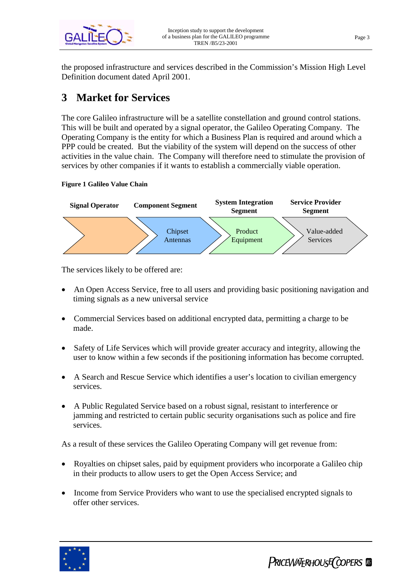

the proposed infrastructure and services described in the Commission's Mission High Level Definition document dated April 2001.

# **3 Market for Services**

The core Galileo infrastructure will be a satellite constellation and ground control stations. This will be built and operated by a signal operator, the Galileo Operating Company. The Operating Company is the entity for which a Business Plan is required and around which a PPP could be created. But the viability of the system will depend on the success of other activities in the value chain. The Company will therefore need to stimulate the provision of services by other companies if it wants to establish a commercially viable operation.

#### **Figure 1 Galileo Value Chain**



The services likely to be offered are:

- An Open Access Service, free to all users and providing basic positioning navigation and timing signals as a new universal service
- Commercial Services based on additional encrypted data, permitting a charge to be made.
- Safety of Life Services which will provide greater accuracy and integrity, allowing the user to know within a few seconds if the positioning information has become corrupted.
- A Search and Rescue Service which identifies a user's location to civilian emergency services.
- A Public Regulated Service based on a robust signal, resistant to interference or jamming and restricted to certain public security organisations such as police and fire services.

As a result of these services the Galileo Operating Company will get revenue from:

- Royalties on chipset sales, paid by equipment providers who incorporate a Galileo chip in their products to allow users to get the Open Access Service; and
- Income from Service Providers who want to use the specialised encrypted signals to offer other services.

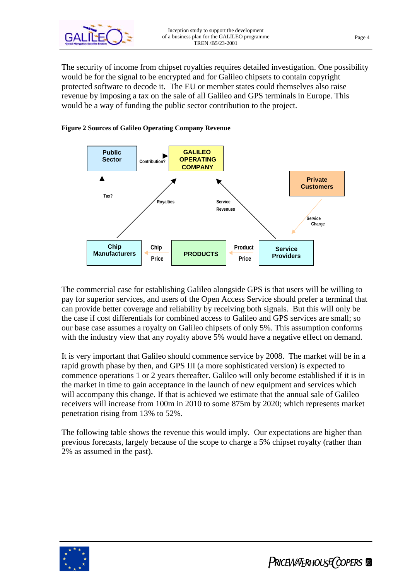

The security of income from chipset royalties requires detailed investigation. One possibility would be for the signal to be encrypted and for Galileo chipsets to contain copyright protected software to decode it. The EU or member states could themselves also raise revenue by imposing a tax on the sale of all Galileo and GPS terminals in Europe. This would be a way of funding the public sector contribution to the project.





The commercial case for establishing Galileo alongside GPS is that users will be willing to pay for superior services, and users of the Open Access Service should prefer a terminal that can provide better coverage and reliability by receiving both signals. But this will only be the case if cost differentials for combined access to Galileo and GPS services are small; so our base case assumes a royalty on Galileo chipsets of only 5%. This assumption conforms with the industry view that any royalty above 5% would have a negative effect on demand.

It is very important that Galileo should commence service by 2008. The market will be in a rapid growth phase by then, and GPS III (a more sophisticated version) is expected to commence operations 1 or 2 years thereafter. Galileo will only become established if it is in the market in time to gain acceptance in the launch of new equipment and services which will accompany this change. If that is achieved we estimate that the annual sale of Galileo receivers will increase from 100m in 2010 to some 875m by 2020; which represents market penetration rising from 13% to 52%.

The following table shows the revenue this would imply. Our expectations are higher than previous forecasts, largely because of the scope to charge a 5% chipset royalty (rather than 2% as assumed in the past).

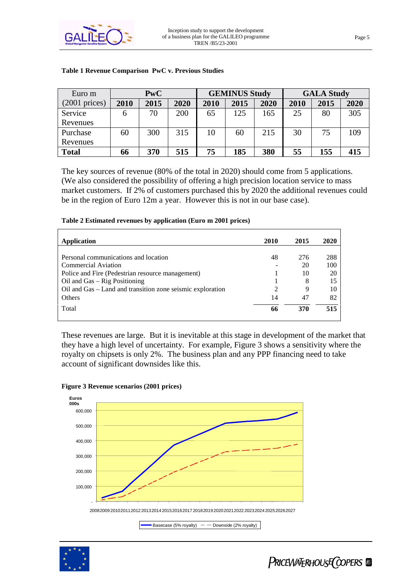

| Euro m           | <b>PwC</b> |      |      | <b>GEMINUS Study</b> |      |      | <b>GALA Study</b> |      |      |
|------------------|------------|------|------|----------------------|------|------|-------------------|------|------|
| $(2001)$ prices) | 2010       | 2015 | 2020 | 2010                 | 2015 | 2020 | 2010              | 2015 | 2020 |
| Service          | O          | 70   | 200  | 65                   | 125  | 165  | 25                | 80   | 305  |
| Revenues         |            |      |      |                      |      |      |                   |      |      |
| Purchase         | 60         | 300  | 315  | 10                   | 60   | 215  | 30                | 75   | 109  |
| Revenues         |            |      |      |                      |      |      |                   |      |      |
| <b>Total</b>     | 66         | 370  | 515  | 75                   | 185  | 380  | 55                | 155  | 415  |

#### **Table 1 Revenue Comparison PwC v. Previous Studies**

The key sources of revenue (80% of the total in 2020) should come from 5 applications. (We also considered the possibility of offering a high precision location service to mass market customers. If 2% of customers purchased this by 2020 the additional revenues could be in the region of Euro 12m a year. However this is not in our base case).

#### **Table 2 Estimated revenues by application (Euro m 2001 prices)**

| Application                                                | 2010 | 2015 | 2020 |
|------------------------------------------------------------|------|------|------|
|                                                            |      |      |      |
| Personal communications and location                       | 48   | 276  | 288  |
| Commercial Aviation                                        |      | 20   | 100  |
| Police and Fire (Pedestrian resource management)           |      | 10   | 20   |
| Oil and $Gas - Rig$ Positioning                            |      | 8    | 15   |
| Oil and Gas – Land and transition zone seismic exploration |      | 9    | 10   |
| <b>Others</b>                                              | 14   | 47   | 82   |
| Total                                                      | 66   | 370  | 515  |

These revenues are large. But it is inevitable at this stage in development of the market that they have a high level of uncertainty. For example, Figure 3 shows a sensitivity where the royalty on chipsets is only 2%. The business plan and any PPP financing need to take account of significant downsides like this.



#### **Figure 3 Revenue scenarios (2001 prices)**

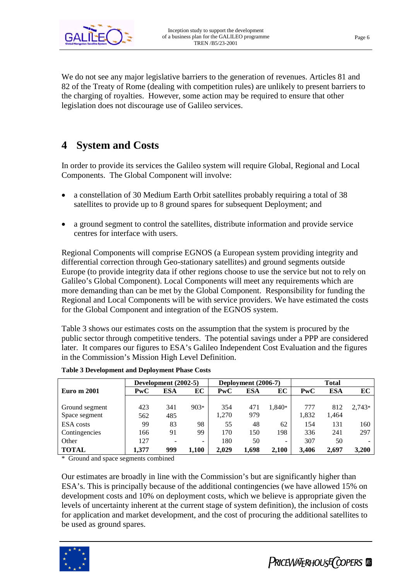

We do not see any major legislative barriers to the generation of revenues. Articles 81 and 82 of the Treaty of Rome (dealing with competition rules) are unlikely to present barriers to the charging of royalties. However, some action may be required to ensure that other legislation does not discourage use of Galileo services.

# **4 System and Costs**

In order to provide its services the Galileo system will require Global, Regional and Local Components. The Global Component will involve:

- a constellation of 30 Medium Earth Orbit satellites probably requiring a total of 38 satellites to provide up to 8 ground spares for subsequent Deployment; and
- a ground segment to control the satellites, distribute information and provide service centres for interface with users.

Regional Components will comprise EGNOS (a European system providing integrity and differential correction through Geo-stationary satellites) and ground segments outside Europe (to provide integrity data if other regions choose to use the service but not to rely on Galileo's Global Component). Local Components will meet any requirements which are more demanding than can be met by the Global Component. Responsibility for funding the Regional and Local Components will be with service providers. We have estimated the costs for the Global Component and integration of the EGNOS system.

Table 3 shows our estimates costs on the assumption that the system is procured by the public sector through competitive tenders. The potential savings under a PPP are considered later. It compares our figures to ESA's Galileo Independent Cost Evaluation and the figures in the Commission's Mission High Level Definition.

|                    | Development (2002-5) |     |        | Deployment (2006-7) |       |        | <b>Total</b> |            |          |
|--------------------|----------------------|-----|--------|---------------------|-------|--------|--------------|------------|----------|
| <b>Euro m 2001</b> | PwC                  | ESA | EC     | PwC                 | ESA   | ЕC     | PwC          | <b>ESA</b> | EС       |
|                    |                      |     |        |                     |       |        |              |            |          |
| Ground segment     | 423                  | 341 | $903*$ | 354                 | 471   | 1.840* | 777          | 812        | $2,743*$ |
| Space segment      | 562                  | 485 |        | 1,270               | 979   |        | 1,832        | 1.464      |          |
| <b>ESA</b> costs   | 99                   | 83  | 98     | 55                  | 48    | 62     | 154          | 131        | 160      |
| Contingencies      | 166                  | 91  | 99     | 170                 | 150   | 198    | 336          | 241        | 297      |
| Other              | 127                  |     | -      | 180                 | 50    | -      | 307          | 50         |          |
| <b>TOTAL</b>       | 1.377                | 999 | 1.100  | 2.029               | 1.698 | 2.100  | 3.406        | 2.697      | 3.200    |

|  | <b>Table 3 Development and Deployment Phase Costs</b> |  |
|--|-------------------------------------------------------|--|
|  |                                                       |  |

\* Ground and space segments combined

Our estimates are broadly in line with the Commission's but are significantly higher than ESA's. This is principally because of the additional contingencies (we have allowed 15% on development costs and 10% on deployment costs, which we believe is appropriate given the levels of uncertainty inherent at the current stage of system definition), the inclusion of costs for application and market development, and the cost of procuring the additional satellites to be used as ground spares.

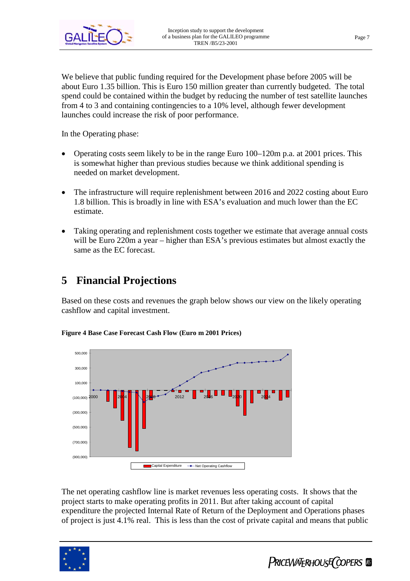

We believe that public funding required for the Development phase before 2005 will be about Euro 1.35 billion. This is Euro 150 million greater than currently budgeted. The total spend could be contained within the budget by reducing the number of test satellite launches from 4 to 3 and containing contingencies to a 10% level, although fewer development launches could increase the risk of poor performance.

In the Operating phase:

- Operating costs seem likely to be in the range Euro 100–120m p.a. at 2001 prices. This is somewhat higher than previous studies because we think additional spending is needed on market development.
- The infrastructure will require replenishment between 2016 and 2022 costing about Euro 1.8 billion. This is broadly in line with ESA's evaluation and much lower than the EC estimate.
- Taking operating and replenishment costs together we estimate that average annual costs will be Euro 220m a year – higher than ESA's previous estimates but almost exactly the same as the EC forecast.

# **5 Financial Projections**

Based on these costs and revenues the graph below shows our view on the likely operating cashflow and capital investment.



**Figure 4 Base Case Forecast Cash Flow (Euro m 2001 Prices)**

The net operating cashflow line is market revenues less operating costs. It shows that the project starts to make operating profits in 2011. But after taking account of capital expenditure the projected Internal Rate of Return of the Deployment and Operations phases of project is just 4.1% real. This is less than the cost of private capital and means that public



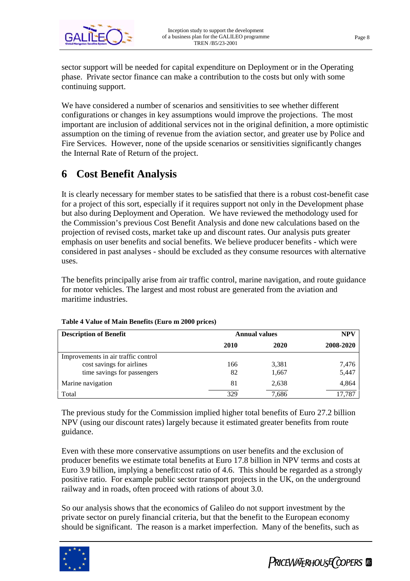

sector support will be needed for capital expenditure on Deployment or in the Operating phase. Private sector finance can make a contribution to the costs but only with some continuing support.

We have considered a number of scenarios and sensitivities to see whether different configurations or changes in key assumptions would improve the projections. The most important are inclusion of additional services not in the original definition, a more optimistic assumption on the timing of revenue from the aviation sector, and greater use by Police and Fire Services. However, none of the upside scenarios or sensitivities significantly changes the Internal Rate of Return of the project.

# **6 Cost Benefit Analysis**

It is clearly necessary for member states to be satisfied that there is a robust cost-benefit case for a project of this sort, especially if it requires support not only in the Development phase but also during Deployment and Operation. We have reviewed the methodology used for the Commission's previous Cost Benefit Analysis and done new calculations based on the projection of revised costs, market take up and discount rates. Our analysis puts greater emphasis on user benefits and social benefits. We believe producer benefits - which were considered in past analyses - should be excluded as they consume resources with alternative uses.

The benefits principally arise from air traffic control, marine navigation, and route guidance for motor vehicles. The largest and most robust are generated from the aviation and maritime industries.

| <b>Description of Benefit</b>       | <b>Annual values</b> | NPV   |           |
|-------------------------------------|----------------------|-------|-----------|
|                                     | 2010                 | 2020  | 2008-2020 |
| Improvements in air traffic control |                      |       |           |
| cost savings for airlines           | 166                  | 3,381 | 7,476     |
| time savings for passengers         | 82                   | 1,667 | 5,447     |
| Marine navigation                   | 81                   | 2,638 | 4,864     |
| Total                               | 329                  | 7,686 | .787      |

#### **Table 4 Value of Main Benefits (Euro m 2000 prices)**

The previous study for the Commission implied higher total benefits of Euro 27.2 billion NPV (using our discount rates) largely because it estimated greater benefits from route guidance.

Even with these more conservative assumptions on user benefits and the exclusion of producer benefits we estimate total benefits at Euro 17.8 billion in NPV terms and costs at Euro 3.9 billion, implying a benefit:cost ratio of 4.6. This should be regarded as a strongly positive ratio. For example public sector transport projects in the UK, on the underground railway and in roads, often proceed with rations of about 3.0.

So our analysis shows that the economics of Galileo do not support investment by the private sector on purely financial criteria, but that the benefit to the European economy should be significant. The reason is a market imperfection. Many of the benefits, such as



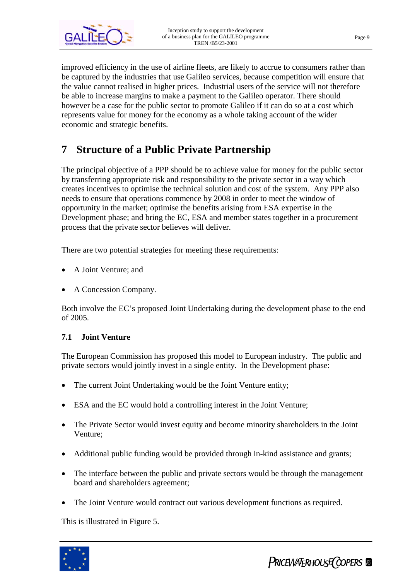

improved efficiency in the use of airline fleets, are likely to accrue to consumers rather than be captured by the industries that use Galileo services, because competition will ensure that the value cannot realised in higher prices. Industrial users of the service will not therefore be able to increase margins to make a payment to the Galileo operator. There should however be a case for the public sector to promote Galileo if it can do so at a cost which represents value for money for the economy as a whole taking account of the wider economic and strategic benefits.

# **7 Structure of a Public Private Partnership**

The principal objective of a PPP should be to achieve value for money for the public sector by transferring appropriate risk and responsibility to the private sector in a way which creates incentives to optimise the technical solution and cost of the system. Any PPP also needs to ensure that operations commence by 2008 in order to meet the window of opportunity in the market; optimise the benefits arising from ESA expertise in the Development phase; and bring the EC, ESA and member states together in a procurement process that the private sector believes will deliver.

There are two potential strategies for meeting these requirements:

- A Joint Venture; and
- A Concession Company.

Both involve the EC's proposed Joint Undertaking during the development phase to the end of 2005.

#### **7.1 Joint Venture**

The European Commission has proposed this model to European industry. The public and private sectors would jointly invest in a single entity. In the Development phase:

- The current Joint Undertaking would be the Joint Venture entity;
- ESA and the EC would hold a controlling interest in the Joint Venture;
- The Private Sector would invest equity and become minority shareholders in the Joint Venture;
- Additional public funding would be provided through in-kind assistance and grants;
- The interface between the public and private sectors would be through the management board and shareholders agreement;
- The Joint Venture would contract out various development functions as required.

This is illustrated in Figure 5.



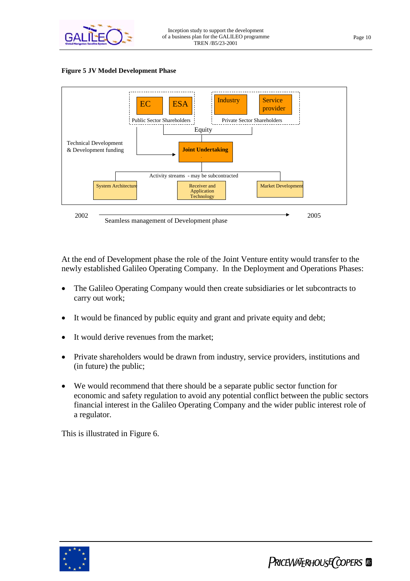

#### **Figure 5 JV Model Development Phase**



At the end of Development phase the role of the Joint Venture entity would transfer to the newly established Galileo Operating Company. In the Deployment and Operations Phases:

- The Galileo Operating Company would then create subsidiaries or let subcontracts to carry out work;
- It would be financed by public equity and grant and private equity and debt;
- It would derive revenues from the market:
- Private shareholders would be drawn from industry, service providers, institutions and (in future) the public;
- We would recommend that there should be a separate public sector function for economic and safety regulation to avoid any potential conflict between the public sectors financial interest in the Galileo Operating Company and the wider public interest role of a regulator.

This is illustrated in Figure 6.

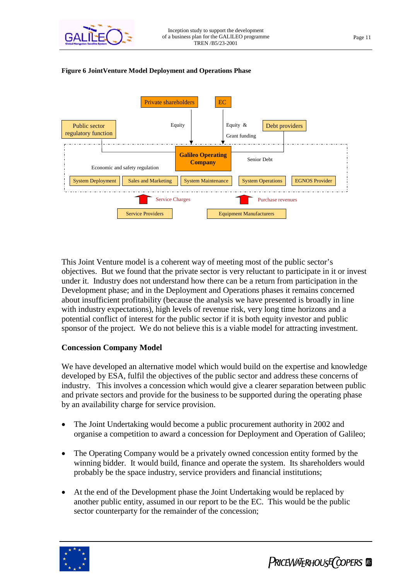

#### **Galileo Operating Company** System Deployment | Sales and Marketing | System Maintenance | System Operations | EGNOS Provider Equipment Manufacturers Purchase revenues Service Providers Service Charges Senior Debt Public sector Require Equity Equity & Debt providers regulatory function Economic and safety regulation Private shareholders EC Equity & Grant funding

**Figure 6 JointVenture Model Deployment and Operations Phase**

This Joint Venture model is a coherent way of meeting most of the public sector's objectives. But we found that the private sector is very reluctant to participate in it or invest under it. Industry does not understand how there can be a return from participation in the Development phase; and in the Deployment and Operations phases it remains concerned about insufficient profitability (because the analysis we have presented is broadly in line with industry expectations), high levels of revenue risk, very long time horizons and a potential conflict of interest for the public sector if it is both equity investor and public sponsor of the project. We do not believe this is a viable model for attracting investment.

#### **Concession Company Model**

We have developed an alternative model which would build on the expertise and knowledge developed by ESA, fulfil the objectives of the public sector and address these concerns of industry. This involves a concession which would give a clearer separation between public and private sectors and provide for the business to be supported during the operating phase by an availability charge for service provision.

- The Joint Undertaking would become a public procurement authority in 2002 and organise a competition to award a concession for Deployment and Operation of Galileo;
- The Operating Company would be a privately owned concession entity formed by the winning bidder. It would build, finance and operate the system. Its shareholders would probably be the space industry, service providers and financial institutions;
- At the end of the Development phase the Joint Undertaking would be replaced by another public entity, assumed in our report to be the EC. This would be the public sector counterparty for the remainder of the concession;



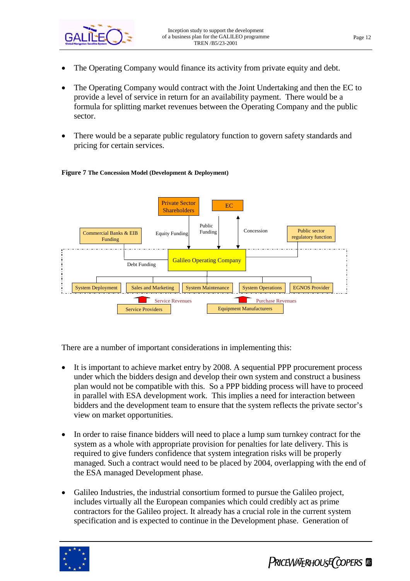

- The Operating Company would finance its activity from private equity and debt.
- The Operating Company would contract with the Joint Undertaking and then the EC to provide a level of service in return for an availability payment. There would be a formula for splitting market revenues between the Operating Company and the public sector.
- There would be a separate public regulatory function to govern safety standards and pricing for certain services.





There are a number of important considerations in implementing this:

- It is important to achieve market entry by 2008. A sequential PPP procurement process under which the bidders design and develop their own system and construct a business plan would not be compatible with this. So a PPP bidding process will have to proceed in parallel with ESA development work. This implies a need for interaction between bidders and the development team to ensure that the system reflects the private sector's view on market opportunities.
- In order to raise finance bidders will need to place a lump sum turnkey contract for the system as a whole with appropriate provision for penalties for late delivery. This is required to give funders confidence that system integration risks will be properly managed. Such a contract would need to be placed by 2004, overlapping with the end of the ESA managed Development phase.
- Galileo Industries, the industrial consortium formed to pursue the Galileo project, includes virtually all the European companies which could credibly act as prime contractors for the Galileo project. It already has a crucial role in the current system specification and is expected to continue in the Development phase. Generation of

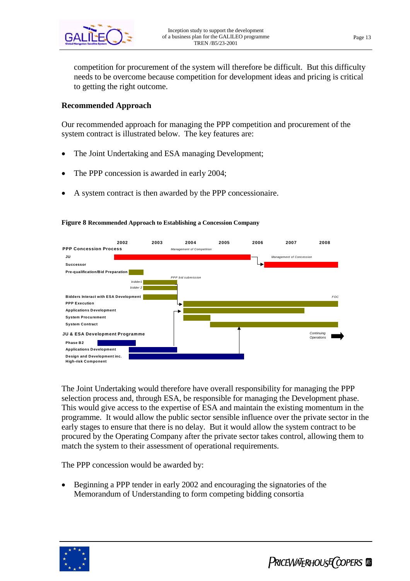

competition for procurement of the system will therefore be difficult. But this difficulty needs to be overcome because competition for development ideas and pricing is critical to getting the right outcome.

#### **Recommended Approach**

Our recommended approach for managing the PPP competition and procurement of the system contract is illustrated below. The key features are:

- The Joint Undertaking and ESA managing Development;
- The PPP concession is awarded in early 2004;
- A system contract is then awarded by the PPP concessionaire.



#### **Figure 8 Recommended Approach to Establishing a Concession Company**

The Joint Undertaking would therefore have overall responsibility for managing the PPP selection process and, through ESA, be responsible for managing the Development phase. This would give access to the expertise of ESA and maintain the existing momentum in the programme. It would allow the public sector sensible influence over the private sector in the early stages to ensure that there is no delay. But it would allow the system contract to be procured by the Operating Company after the private sector takes control, allowing them to match the system to their assessment of operational requirements.

The PPP concession would be awarded by:

 Beginning a PPP tender in early 2002 and encouraging the signatories of the Memorandum of Understanding to form competing bidding consortia

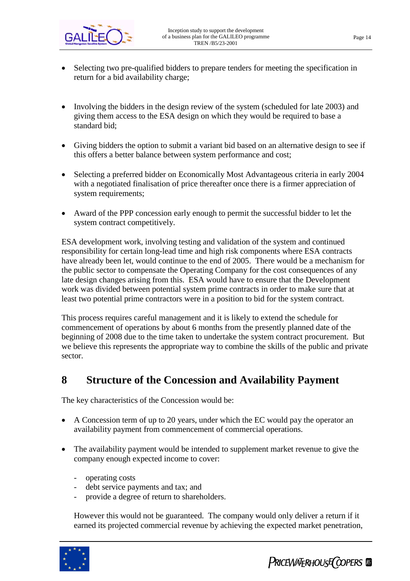- Selecting two pre-qualified bidders to prepare tenders for meeting the specification in return for a bid availability charge;
- Involving the bidders in the design review of the system (scheduled for late 2003) and giving them access to the ESA design on which they would be required to base a standard bid;
- Giving bidders the option to submit a variant bid based on an alternative design to see if this offers a better balance between system performance and cost;
- Selecting a preferred bidder on Economically Most Advantageous criteria in early 2004 with a negotiated finalisation of price thereafter once there is a firmer appreciation of system requirements;
- Award of the PPP concession early enough to permit the successful bidder to let the system contract competitively.

ESA development work, involving testing and validation of the system and continued responsibility for certain long-lead time and high risk components where ESA contracts have already been let, would continue to the end of 2005. There would be a mechanism for the public sector to compensate the Operating Company for the cost consequences of any late design changes arising from this. ESA would have to ensure that the Development work was divided between potential system prime contracts in order to make sure that at least two potential prime contractors were in a position to bid for the system contract.

This process requires careful management and it is likely to extend the schedule for commencement of operations by about 6 months from the presently planned date of the beginning of 2008 due to the time taken to undertake the system contract procurement. But we believe this represents the appropriate way to combine the skills of the public and private sector.

### **8 Structure of the Concession and Availability Payment**

The key characteristics of the Concession would be:

- A Concession term of up to 20 years, under which the EC would pay the operator an availability payment from commencement of commercial operations.
- The availability payment would be intended to supplement market revenue to give the company enough expected income to cover:
	- operating costs
	- debt service payments and tax; and
	- provide a degree of return to shareholders.

However this would not be guaranteed. The company would only deliver a return if it earned its projected commercial revenue by achieving the expected market penetration,



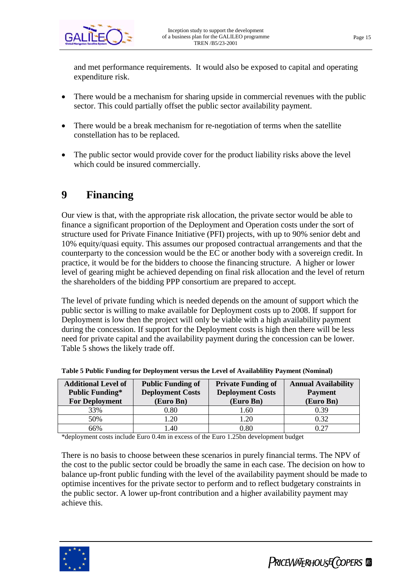and met performance requirements. It would also be exposed to capital and operating expenditure risk.

- There would be a mechanism for sharing upside in commercial revenues with the public sector. This could partially offset the public sector availability payment.
- There would be a break mechanism for re-negotiation of terms when the satellite constellation has to be replaced.
- The public sector would provide cover for the product liability risks above the level which could be insured commercially.

# **9 Financing**

Our view is that, with the appropriate risk allocation, the private sector would be able to finance a significant proportion of the Deployment and Operation costs under the sort of structure used for Private Finance Initiative (PFI) projects, with up to 90% senior debt and 10% equity/quasi equity. This assumes our proposed contractual arrangements and that the counterparty to the concession would be the EC or another body with a sovereign credit. In practice, it would be for the bidders to choose the financing structure. A higher or lower level of gearing might be achieved depending on final risk allocation and the level of return the shareholders of the bidding PPP consortium are prepared to accept.

The level of private funding which is needed depends on the amount of support which the public sector is willing to make available for Deployment costs up to 2008. If support for Deployment is low then the project will only be viable with a high availability payment during the concession. If support for the Deployment costs is high then there will be less need for private capital and the availability payment during the concession can be lower. Table 5 shows the likely trade off.

| <b>Additional Level of</b> | <b>Public Funding of</b> | <b>Private Funding of</b> | <b>Annual Availability</b> |  |
|----------------------------|--------------------------|---------------------------|----------------------------|--|
| <b>Public Funding*</b>     | <b>Deployment Costs</b>  | <b>Deployment Costs</b>   | <b>Payment</b>             |  |
| <b>For Deployment</b>      | (Euro Bn)                | (Euro Bn)                 | (Euro Bn)                  |  |
| 33%                        | $0.80\,$                 | 1.60                      | 0.39                       |  |
| 50%                        | $\overline{20}$          | .20                       | 0.32                       |  |
| 66%                        | .40                      | 0.80                      | በ 27                       |  |

**Table 5 Public Funding for Deployment versus the Level of Availablility Payment (Nominal)**

\*deployment costs include Euro 0.4m in excess of the Euro 1.25bn development budget

There is no basis to choose between these scenarios in purely financial terms. The NPV of the cost to the public sector could be broadly the same in each case. The decision on how to balance up-front public funding with the level of the availability payment should be made to optimise incentives for the private sector to perform and to reflect budgetary constraints in the public sector. A lower up-front contribution and a higher availability payment may achieve this.

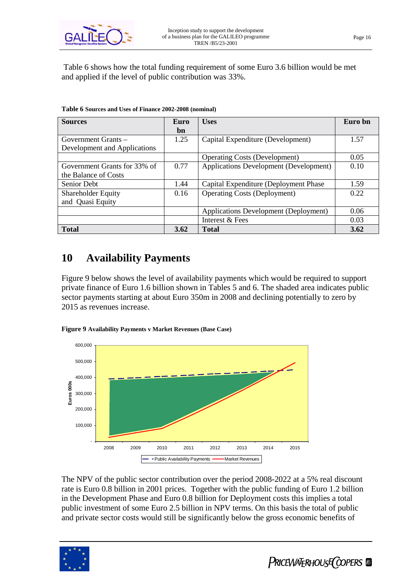

 Table 6 shows how the total funding requirement of some Euro 3.6 billion would be met and applied if the level of public contribution was 33%.

| <b>Sources</b>               | Euro | <b>Uses</b>                            | Euro bn |
|------------------------------|------|----------------------------------------|---------|
|                              | bn   |                                        |         |
| Government Grants –          | 1.25 | Capital Expenditure (Development)      | 1.57    |
| Development and Applications |      |                                        |         |
|                              |      | <b>Operating Costs (Development)</b>   | 0.05    |
| Government Grants for 33% of | 0.77 | Applications Development (Development) | 0.10    |
| the Balance of Costs         |      |                                        |         |
| Senior Debt                  | 1.44 | Capital Expenditure (Deployment Phase) | 1.59    |
| Shareholder Equity           | 0.16 | <b>Operating Costs (Deployment)</b>    | 0.22    |
| and Quasi Equity             |      |                                        |         |
|                              |      | Applications Development (Deployment)  | 0.06    |
|                              |      | Interest & Fees                        | 0.03    |
| <b>Total</b>                 | 3.62 | <b>Total</b>                           | 3.62    |

**Table 6 Sources and Uses of Finance 2002-2008 (nominal)**

### **10 Availability Payments**

Figure 9 below shows the level of availability payments which would be required to support private finance of Euro 1.6 billion shown in Tables 5 and 6. The shaded area indicates public sector payments starting at about Euro 350m in 2008 and declining potentially to zero by 2015 as revenues increase.





The NPV of the public sector contribution over the period 2008-2022 at a 5% real discount rate is Euro 0.8 billion in 2001 prices. Together with the public funding of Euro 1.2 billion in the Development Phase and Euro 0.8 billion for Deployment costs this implies a total public investment of some Euro 2.5 billion in NPV terms. On this basis the total of public and private sector costs would still be significantly below the gross economic benefits of